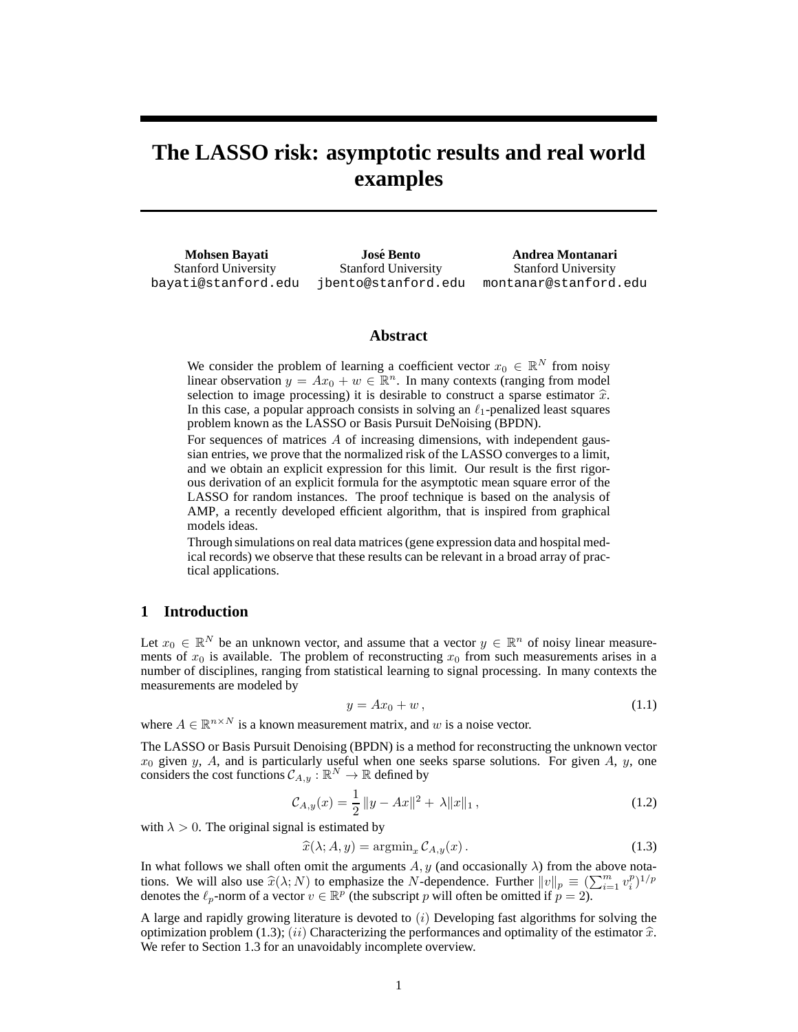# **The LASSO risk: asymptotic results and real world examples**

**Mohsen Bayati** Stanford University bayati@stanford.edu

**Jose Bento ´** Stanford University

jbento@stanford.edu montanar@stanford.edu **Andrea Montanari** Stanford University

## **Abstract**

We consider the problem of learning a coefficient vector  $x_0 \in \mathbb{R}^N$  from noisy linear observation  $y = Ax_0 + w \in \mathbb{R}^n$ . In many contexts (ranging from model) selection to image processing) it is desirable to construct a sparse estimator  $\hat{x}$ . In this case, a popular approach consists in solving an  $\ell_1$ -penalized least squares problem known as the LASSO or Basis Pursuit DeNoising (BPDN).

For sequences of matrices A of increasing dimensions, with independent gaussian entries, we prove that the normalized risk of the LASSO converges to a limit, and we obtain an explicit expression for this limit. Our result is the first rigorous derivation of an explicit formula for the asymptotic mean square error of the LASSO for random instances. The proof technique is based on the analysis of AMP, a recently developed efficient algorithm, that is inspired from graphical models ideas.

Through simulations on real data matrices (gene expression data and hospital medical records) we observe that these results can be relevant in a broad array of practical applications.

# **1 Introduction**

Let  $x_0 \in \mathbb{R}^N$  be an unknown vector, and assume that a vector  $y \in \mathbb{R}^n$  of noisy linear measurements of  $x_0$  is available. The problem of reconstructing  $x_0$  from such measurements arises in a number of disciplines, ranging from statistical learning to signal processing. In many contexts the measurements are modeled by

$$
y = Ax_0 + w, \tag{1.1}
$$

where  $A \in \mathbb{R}^{n \times N}$  is a known measurement matrix, and w is a noise vector.

The LASSO or Basis Pursuit Denoising (BPDN) is a method for reconstructing the unknown vector  $x_0$  given y, A, and is particularly useful when one seeks sparse solutions. For given A, y, one considers the cost functions  $C_{A,y} : \mathbb{R}^N \to \mathbb{R}$  defined by

$$
\mathcal{C}_{A,y}(x) = \frac{1}{2} \|y - Ax\|^2 + \lambda \|x\|_1, \qquad (1.2)
$$

with  $\lambda > 0$ . The original signal is estimated by

$$
\widehat{x}(\lambda; A, y) = \operatorname{argmin}_{x} \mathcal{C}_{A, y}(x).
$$
\n(1.3)

In what follows we shall often omit the arguments  $A, y$  (and occasionally  $\lambda$ ) from the above notations. We will also use  $\hat{x}(\lambda; N)$  to emphasize the N-dependence. Further  $||v||_p \equiv (\sum_{i=1}^m v_i^p)^{1/p}$ denotes the  $\ell_p$ -norm of a vector  $v \in \mathbb{R}^p$  (the subscript p will often be omitted if  $p = 2$ ).

A large and rapidly growing literature is devoted to  $(i)$  Developing fast algorithms for solving the optimization problem (1.3); (ii) Characterizing the performances and optimality of the estimator  $\hat{x}$ . We refer to Section 1.3 for an unavoidably incomplete overview.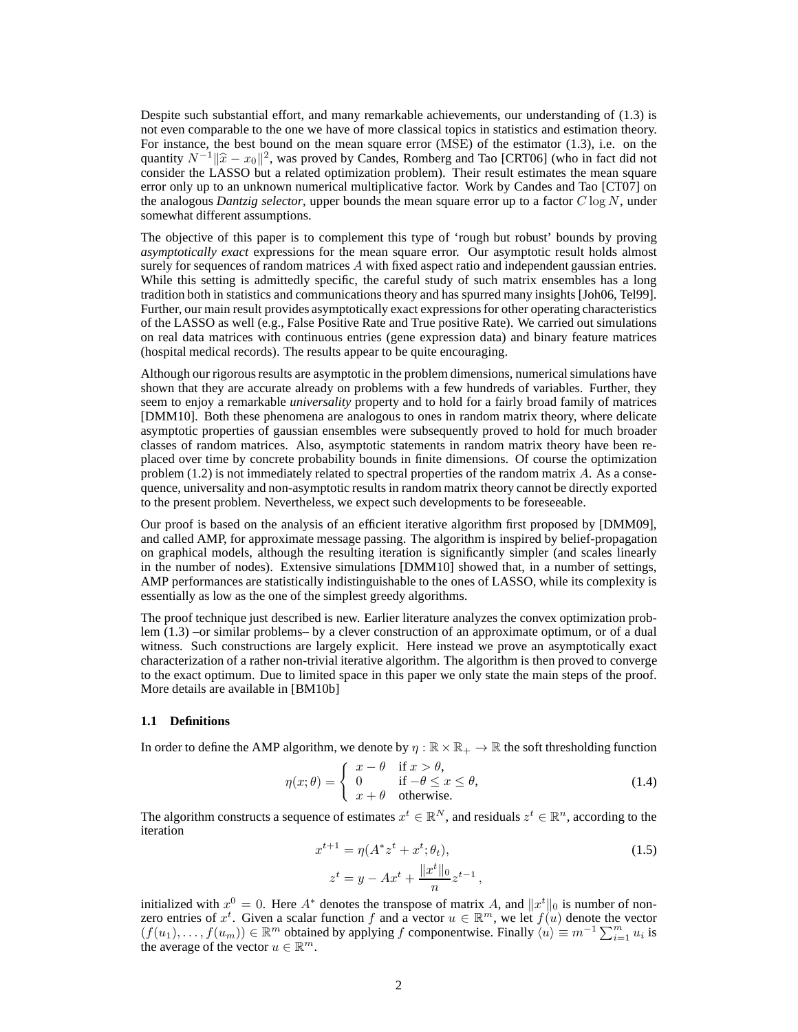Despite such substantial effort, and many remarkable achievements, our understanding of (1.3) is not even comparable to the one we have of more classical topics in statistics and estimation theory. For instance, the best bound on the mean square error (MSE) of the estimator (1.3), i.e. on the quantity  $N^{-1}||\hat{x} - x_0||^2$ , was proved by Candes, Romberg and Tao [CRT06] (who in fact did not consider the LASSO but a related optimization problem). Their result estimates the mean square error only up to an unknown numerical multiplicative factor. Work by Candes and Tao [CT07] on the analogous *Dantzig selector*, upper bounds the mean square error up to a factor C log N, under somewhat different assumptions.

The objective of this paper is to complement this type of 'rough but robust' bounds by proving *asymptotically exact* expressions for the mean square error. Our asymptotic result holds almost surely for sequences of random matrices A with fixed aspect ratio and independent gaussian entries. While this setting is admittedly specific, the careful study of such matrix ensembles has a long tradition both in statistics and communications theory and has spurred many insights [Joh06, Tel99]. Further, our main result provides asymptotically exact expressions for other operating characteristics of the LASSO as well (e.g., False Positive Rate and True positive Rate). We carried out simulations on real data matrices with continuous entries (gene expression data) and binary feature matrices (hospital medical records). The results appear to be quite encouraging.

Although our rigorous results are asymptotic in the problem dimensions, numerical simulations have shown that they are accurate already on problems with a few hundreds of variables. Further, they seem to enjoy a remarkable *universality* property and to hold for a fairly broad family of matrices [DMM10]. Both these phenomena are analogous to ones in random matrix theory, where delicate asymptotic properties of gaussian ensembles were subsequently proved to hold for much broader classes of random matrices. Also, asymptotic statements in random matrix theory have been replaced over time by concrete probability bounds in finite dimensions. Of course the optimization problem (1.2) is not immediately related to spectral properties of the random matrix A. As a consequence, universality and non-asymptotic results in random matrix theory cannot be directly exported to the present problem. Nevertheless, we expect such developments to be foreseeable.

Our proof is based on the analysis of an efficient iterative algorithm first proposed by [DMM09], and called AMP, for approximate message passing. The algorithm is inspired by belief-propagation on graphical models, although the resulting iteration is significantly simpler (and scales linearly in the number of nodes). Extensive simulations [DMM10] showed that, in a number of settings, AMP performances are statistically indistinguishable to the ones of LASSO, while its complexity is essentially as low as the one of the simplest greedy algorithms.

The proof technique just described is new. Earlier literature analyzes the convex optimization problem (1.3) –or similar problems– by a clever construction of an approximate optimum, or of a dual witness. Such constructions are largely explicit. Here instead we prove an asymptotically exact characterization of a rather non-trivial iterative algorithm. The algorithm is then proved to converge to the exact optimum. Due to limited space in this paper we only state the main steps of the proof. More details are available in [BM10b]

#### **1.1 Definitions**

In order to define the AMP algorithm, we denote by  $\eta : \mathbb{R} \times \mathbb{R}_+ \to \mathbb{R}$  the soft thresholding function

$$
\eta(x; \theta) = \begin{cases} x - \theta & \text{if } x > \theta, \\ 0 & \text{if } -\theta \le x \le \theta, \\ x + \theta & \text{otherwise.} \end{cases}
$$
\n(1.4)

The algorithm constructs a sequence of estimates  $x^t \in \mathbb{R}^N$ , and residuals  $z^t \in \mathbb{R}^n$ , according to the iteration

$$
x^{t+1} = \eta(A^*z^t + x^t; \theta_t), \tag{1.5}
$$

$$
z^{t} = y - Ax^{t} + \frac{\|x^{t}\|_{0}}{n}z^{t-1},
$$

initialized with  $x^0 = 0$ . Here  $A^*$  denotes the transpose of matrix A, and  $||x^t||_0$  is number of nonzero entries of  $x^t$ . Given a scalar function f and a vector  $u \in \mathbb{R}^m$ , we let  $f(u)$  denote the vector  $(f(u_1),...,f(u_m)) \in \mathbb{R}^m$  obtained by applying f componentwise. Finally  $\langle u \rangle \equiv m^{-1} \sum_{i=1}^m u_i$  is the average of the vector  $u \in \mathbb{R}^m$ .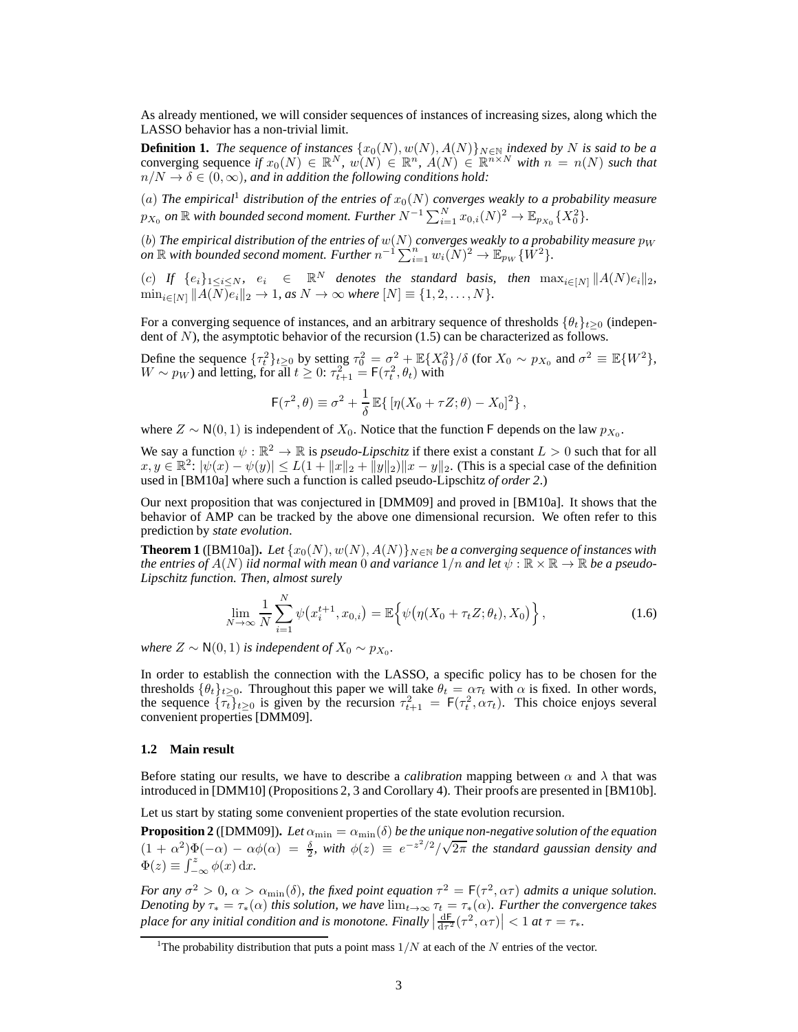As already mentioned, we will consider sequences of instances of increasing sizes, along which the LASSO behavior has a non-trivial limit.

**Definition 1.** *The sequence of instances*  $\{x_0(N), w(N), A(N)\}_{N \in \mathbb{N}}$  *indexed by* N *is said to be a* converging sequence *if*  $x_0(N) \in \mathbb{R}^N$ ,  $w(N) \in \mathbb{R}^n$ ,  $A(N) \in \mathbb{R}^{n \times N}$  with  $n = n(N)$  such that  $n/N \to \delta \in (0,\infty)$ , and in addition the following conditions hold:

(a) The empirical<sup>1</sup> distribution of the entries of  $x_0(N)$  converges weakly to a probability measure  $p_{X_0}$  on  $\mathbb R$  with bounded second moment. Further  $N^{-1}\sum_{i=1}^N x_{0,i}(N)^2 \to \mathbb{E}_{p_{X_0}}\{X_0^2\}.$ 

 $(b)$  *The empirical distribution of the entries of*  $w(N)$  *converges weakly to a probability measure*  $p_W$ on  $\mathbb R$  with bounded second moment. Further  $n^{-1} \sum_{i=1}^n w_i(N)^2 \to \mathbb E_{p_W}\{W^2\}$ .

(c) *If*  $\{e_i\}_{1\leq i\leq N}$ ,  $e_i \in \mathbb{R}^N$  *denotes the standard basis, then*  $\max_{i\in[N]} ||A(N)e_i||_2$ ,  $\min_{i \in [N]} \|A(N)e_i\|_2 \to 1$ *, as*  $N \to \infty$  *where*  $[N] \equiv \{1, 2, ..., N\}.$ 

For a converging sequence of instances, and an arbitrary sequence of thresholds  $\{\theta_t\}_{t>0}$  (independent of N), the asymptotic behavior of the recursion (1.5) can be characterized as follows.

Define the sequence  $\{\tau_t^2\}_{t\geq0}$  by setting  $\tau_0^2 = \sigma^2 + \mathbb{E}\{X_0^2\}/\delta$  (for  $X_0 \sim p_{X_0}$  and  $\sigma^2 \equiv \mathbb{E}\{W^2\}$ ,  $W \sim p_W$ ) and letting, for all  $t \geq 0$ :  $\tau_{t+1}^2 = F(\tau_t^2, \theta_t)$  with

$$
\mathsf{F}(\tau^2,\theta) \equiv \sigma^2 + \frac{1}{\delta} \mathbb{E}\{\left[\eta(X_0 + \tau Z; \theta) - X_0\right]^2\},\,
$$

where  $Z \sim N(0, 1)$  is independent of  $X_0$ . Notice that the function F depends on the law  $p_{X_0}$ .

We say a function  $\psi : \mathbb{R}^2 \to \mathbb{R}$  is *pseudo-Lipschitz* if there exist a constant  $L > 0$  such that for all  $x, y \in \mathbb{R}^2$ :  $|\psi(x) - \psi(y)| \le L(1 + \|x\|_2 + \|y\|_2)\|x - y\|_2$ . (This is a special case of the definition used in [BM10a] where such a function is called pseudo-Lipschitz *of order 2*.)

Our next proposition that was conjectured in [DMM09] and proved in [BM10a]. It shows that the behavior of AMP can be tracked by the above one dimensional recursion. We often refer to this prediction by *state evolution*.

**Theorem 1** ([BM10a]). Let  $\{x_0(N), w(N), A(N)\}_{N \in \mathbb{N}}$  be a converging sequence of instances with *the entries of*  $A(N)$  *iid normal with mean* 0 *and variance*  $1/n$  *and let*  $\psi$  :  $\mathbb{R} \times \mathbb{R} \to \mathbb{R}$  *be a pseudo-Lipschitz function. Then, almost surely*

$$
\lim_{N \to \infty} \frac{1}{N} \sum_{i=1}^{N} \psi(x_i^{t+1}, x_{0,i}) = \mathbb{E} \Big\{ \psi(\eta(X_0 + \tau_t Z; \theta_t), X_0) \Big\},\tag{1.6}
$$

*where*  $Z \sim \mathsf{N}(0,1)$  *is independent of*  $X_0 \sim p_{X_0}$ *.* 

In order to establish the connection with the LASSO, a specific policy has to be chosen for the thresholds  $\{\theta_t\}_{t\geq 0}$ . Throughout this paper we will take  $\theta_t = \alpha \tau_t$  with  $\alpha$  is fixed. In other words, the sequence  $\{\tau_t\}_{t\geq 0}$  is given by the recursion  $\tau_{t+1}^2 = \mathsf{F}(\tau_t^2, \alpha \tau_t)$ . This choice enjoys several convenient properties [DMM09].

#### **1.2 Main result**

Before stating our results, we have to describe a *calibration* mapping between  $\alpha$  and  $\lambda$  that was introduced in [DMM10] (Propositions 2, 3 and Corollary 4). Their proofs are presented in [BM10b].

Let us start by stating some convenient properties of the state evolution recursion.

**Proposition 2** ([DMM09]). Let  $\alpha_{\min} = \alpha_{\min}(\delta)$  be the unique non-negative solution of the equation  $(1 + \alpha^2) \Phi(-\alpha) - \alpha \phi(\alpha) = \frac{\delta}{2}$ , with  $\phi(z) \equiv e^{-z^2/2}/\sqrt{2\pi}$  the standard gaussian density and  $\Phi(z) \equiv \int_{-\infty}^{z} \phi(x) dx.$ 

*For any*  $\sigma^2 > 0$ ,  $\alpha > \alpha_{\min}(\delta)$ , the fixed point equation  $\tau^2 = F(\tau^2, \alpha \tau)$  admits a unique solution. *Denoting by*  $\tau_* = \tau_*(\alpha)$  *this solution, we have*  $\lim_{t\to\infty} \tau_t = \tau_*(\alpha)$ *. Further the convergence takes* place for any initial condition and is monotone. Finally  $\left|\frac{dF}{d\tau^2}(\tau^2,\alpha\tau)\right| < 1$  at  $\tau = \tau_*$ .

<sup>&</sup>lt;sup>1</sup>The probability distribution that puts a point mass  $1/N$  at each of the N entries of the vector.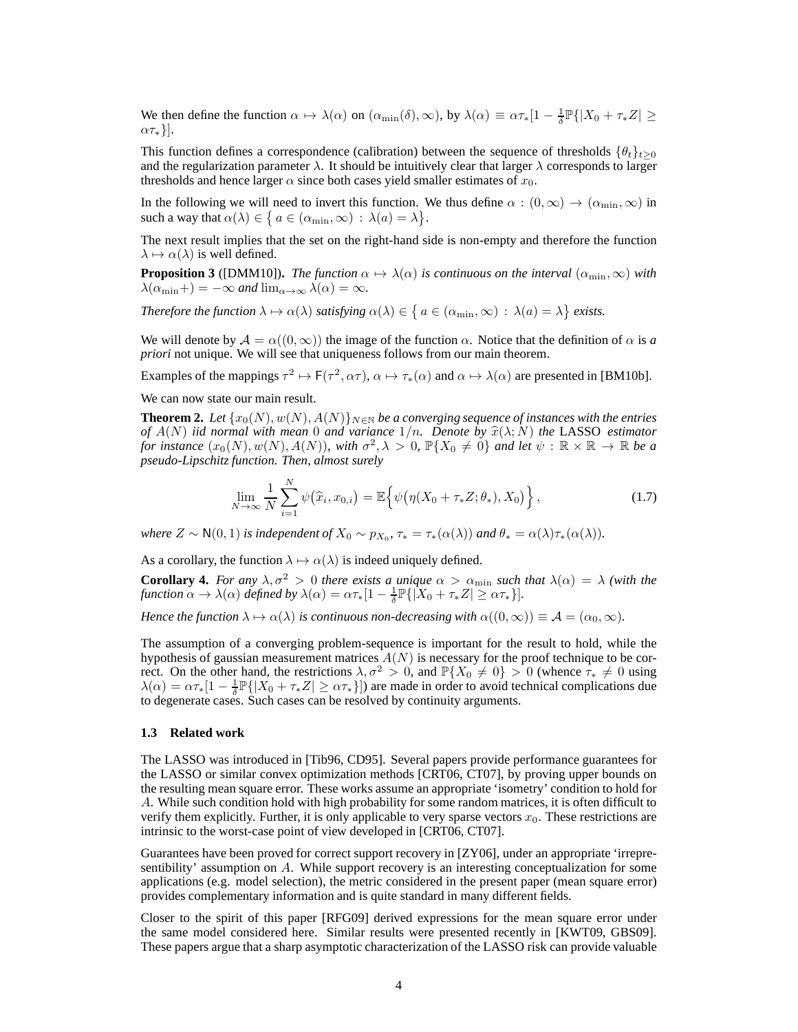We then define the function  $\alpha \mapsto \lambda(\alpha)$  on  $(\alpha_{\min}(\delta), \infty)$ , by  $\lambda(\alpha) \equiv \alpha \tau_*[1 - \frac{1}{\delta} \mathbb{P}\{|X_0 + \tau_* Z| \geq \frac{1}{\delta} \mathbb{P}\{|X_0 + \tau_* Z| \geq \frac{1}{\delta} \mathbb{P}\{|X_0 + \tau_* Z| \geq \frac{1}{\delta} \mathbb{P}\{|X_0 + \tau_* Z| \geq \frac{1}{\delta} \mathbb{P}\{|X_0 + \tau_* Z| \geq \frac{1}{\$  $\alpha\tau_{*}$ }].

This function defines a correspondence (calibration) between the sequence of thresholds  $\{\theta_t\}_{t>0}$ and the regularization parameter  $\lambda$ . It should be intuitively clear that larger  $\lambda$  corresponds to larger thresholds and hence larger  $\alpha$  since both cases yield smaller estimates of  $x_0$ .

In the following we will need to invert this function. We thus define  $\alpha : (0, \infty) \to (\alpha_{\min}, \infty)$  in such a way that  $\alpha(\lambda) \in \{ a \in (\alpha_{\min}, \infty) : \lambda(a) = \lambda \}.$ 

The next result implies that the set on the right-hand side is non-empty and therefore the function  $\lambda \mapsto \alpha(\lambda)$  is well defined.

**Proposition 3** ([DMM10])**.** *The function*  $\alpha \mapsto \lambda(\alpha)$  *is continuous on the interval*  $(\alpha_{\min}, \infty)$  *with*  $\lambda(\alpha_{\min}+) = -\infty$  *and*  $\lim_{\alpha \to \infty} \lambda(\alpha) = \infty$ *.* 

*Therefore the function*  $\lambda \mapsto \alpha(\lambda)$  *satisfying*  $\alpha(\lambda) \in \{ a \in (\alpha_{\min}, \infty) : \lambda(a) = \lambda \}$  *exists.* 

We will denote by  $\mathcal{A} = \alpha((0, \infty))$  the image of the function  $\alpha$ . Notice that the definition of  $\alpha$  is a *priori* not unique. We will see that uniqueness follows from our main theorem.

Examples of the mappings  $\tau^2 \mapsto \mathsf{F}(\tau^2, \alpha \tau)$ ,  $\alpha \mapsto \tau_*(\alpha)$  and  $\alpha \mapsto \lambda(\alpha)$  are presented in [BM10b].

We can now state our main result.

**Theorem 2.** *Let*  $\{x_0(N), w(N), A(N)\}\$ <sub>N∈N</sub> *be a converging sequence of instances with the entries of*  $A(N)$  *iid normal with mean* 0 *and variance*  $1/n$ *. Denote by*  $\hat{x}(\lambda; N)$  *the* LASSO *estimator for instance*  $(x_0(N), w(N), A(N))$ *, with*  $\sigma^2, \lambda > 0$ ,  $\mathbb{P}\{X_0 \neq 0\}$  *and let*  $\psi : \mathbb{R} \times \mathbb{R} \to \mathbb{R}$  *be a pseudo-Lipschitz function. Then, almost surely*

$$
\lim_{N \to \infty} \frac{1}{N} \sum_{i=1}^{N} \psi(\widehat{x}_i, x_{0,i}) = \mathbb{E} \Big\{ \psi(\eta(X_0 + \tau_* Z; \theta_*), X_0) \Big\},\tag{1.7}
$$

*where*  $Z \sim \mathsf{N}(0,1)$  *is independent of*  $X_0 \sim p_{X_0}$ ,  $\tau_* = \tau_*(\alpha(\lambda))$  *and*  $\theta_* = \alpha(\lambda)\tau_*(\alpha(\lambda))$ *.* 

As a corollary, the function  $\lambda \mapsto \alpha(\lambda)$  is indeed uniquely defined.

**Corollary 4.** *For any*  $\lambda, \sigma^2 > 0$  *there exists a unique*  $\alpha > \alpha_{\min}$  *such that*  $\lambda(\alpha) = \lambda$  *(with the function*  $\alpha \to \lambda(\alpha)$  *defined by*  $\lambda(\alpha) = \alpha \tau_* [1 - \frac{1}{\delta} \mathbb{P}\{ |X_0 + \tau_* Z| \ge \alpha \tau_* \}].$ 

*Hence the function*  $\lambda \mapsto \alpha(\lambda)$  *is continuous non-decreasing with*  $\alpha((0, \infty)) \equiv A = (\alpha_0, \infty)$ *.* 

The assumption of a converging problem-sequence is important for the result to hold, while the hypothesis of gaussian measurement matrices  $A(N)$  is necessary for the proof technique to be correct. On the other hand, the restrictions  $\lambda, \sigma^2 > 0$ , and  $\mathbb{P}\{X_0 \neq 0\} > 0$  (whence  $\tau_* \neq 0$  using  $\lambda(\alpha) = \alpha \tau_* [1 - \frac{1}{\delta} \mathbb{P} \{ |X_0 + \tau_* Z| \ge \alpha \tau_* \}]$ ) are made in order to avoid technical complications due to degenerate cases. Such cases can be resolved by continuity arguments.

## **1.3 Related work**

The LASSO was introduced in [Tib96, CD95]. Several papers provide performance guarantees for the LASSO or similar convex optimization methods [CRT06, CT07], by proving upper bounds on the resulting mean square error. These works assume an appropriate 'isometry' condition to hold for A. While such condition hold with high probability for some random matrices, it is often difficult to verify them explicitly. Further, it is only applicable to very sparse vectors  $x_0$ . These restrictions are intrinsic to the worst-case point of view developed in [CRT06, CT07].

Guarantees have been proved for correct support recovery in [ZY06], under an appropriate 'irrepresentibility' assumption on A. While support recovery is an interesting conceptualization for some applications (e.g. model selection), the metric considered in the present paper (mean square error) provides complementary information and is quite standard in many different fields.

Closer to the spirit of this paper [RFG09] derived expressions for the mean square error under the same model considered here. Similar results were presented recently in [KWT09, GBS09]. These papers argue that a sharp asymptotic characterization of the LASSO risk can provide valuable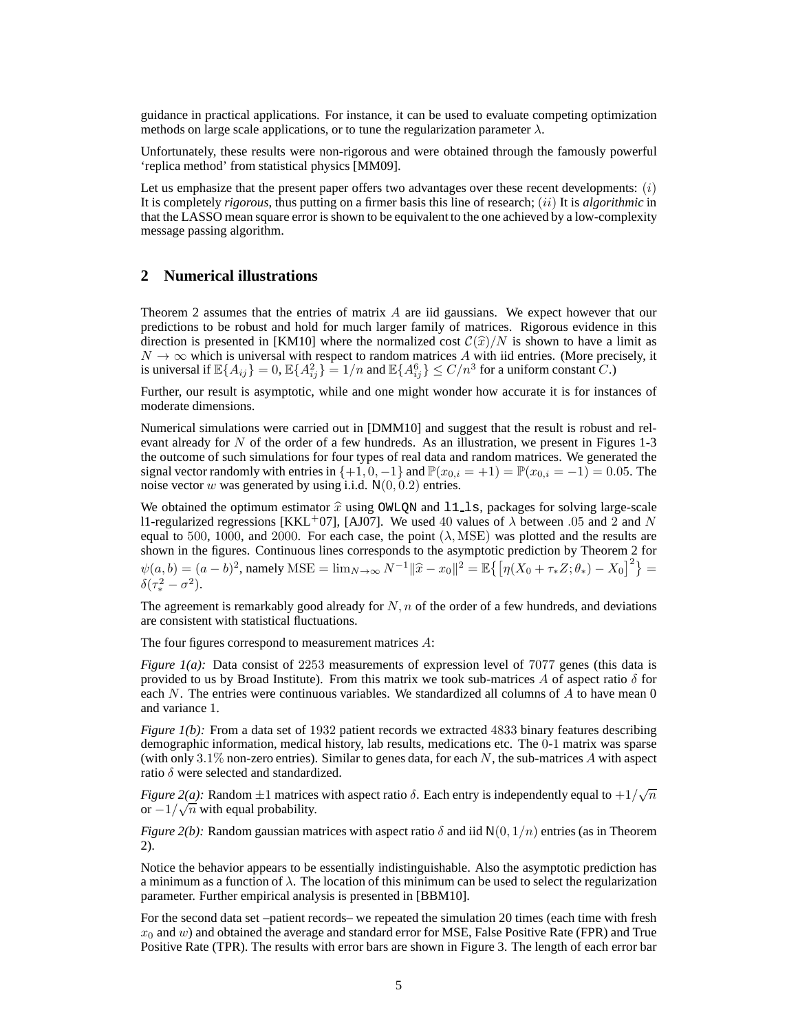guidance in practical applications. For instance, it can be used to evaluate competing optimization methods on large scale applications, or to tune the regularization parameter  $\lambda$ .

Unfortunately, these results were non-rigorous and were obtained through the famously powerful 'replica method' from statistical physics [MM09].

Let us emphasize that the present paper offers two advantages over these recent developments:  $(i)$ It is completely *rigorous*, thus putting on a firmer basis this line of research; (ii) It is *algorithmic* in that the LASSO mean square error is shown to be equivalent to the one achieved by a low-complexity message passing algorithm.

# **2 Numerical illustrations**

Theorem 2 assumes that the entries of matrix A are iid gaussians. We expect however that our predictions to be robust and hold for much larger family of matrices. Rigorous evidence in this direction is presented in [KM10] where the normalized cost  $C(\hat{x})/N$  is shown to have a limit as  $N \to \infty$  which is universal with respect to random matrices A with iid entries. (More precisely, it is universal if  $\mathbb{E}\{A_{ij}\}=0$ ,  $\mathbb{E}\{A_{ij}^2\}=1/n$  and  $\mathbb{E}\{A_{ij}^6\}\leq C/n^3$  for a uniform constant  $C$ .)

Further, our result is asymptotic, while and one might wonder how accurate it is for instances of moderate dimensions.

Numerical simulations were carried out in [DMM10] and suggest that the result is robust and relevant already for  $N$  of the order of a few hundreds. As an illustration, we present in Figures 1-3 the outcome of such simulations for four types of real data and random matrices. We generated the signal vector randomly with entries in  $\{+1, 0, -1\}$  and  $\mathbb{P}(x_{0,i} = +1) = \mathbb{P}(x_{0,i} = -1) = 0.05$ . The noise vector w was generated by using i.i.d.  $N(0, 0.2)$  entries.

We obtained the optimum estimator  $\hat{x}$  using OWLQN and 11<sub>-1s</sub>, packages for solving large-scale 11-regularized regressions [KKL<sup>+</sup>07], [AJ07]. We used 40 values of  $\lambda$  between .05 and 2 and N equal to 500, 1000, and 2000. For each case, the point  $(\lambda, \text{MSE})$  was plotted and the results are shown in the figures. Continuous lines corresponds to the asymptotic prediction by Theorem 2 for  $\psi(a, b) = (a - b)^2$ , namely MSE =  $\lim_{N \to \infty} N^{-1} ||\hat{x} - x_0||^2 = \mathbb{E} \{ [\eta(X_0 + \tau_* Z; \theta_*) - X_0]^2 \}$  =  $\delta(\tau_*^2-\sigma^2).$ 

The agreement is remarkably good already for  $N$ , n of the order of a few hundreds, and deviations are consistent with statistical fluctuations.

The four figures correspond to measurement matrices A:

*Figure 1(a):* Data consist of 2253 measurements of expression level of 7077 genes (this data is provided to us by Broad Institute). From this matrix we took sub-matrices A of aspect ratio  $\delta$  for each  $N$ . The entries were continuous variables. We standardized all columns of  $A$  to have mean  $0$ and variance 1.

*Figure 1(b)*: From a data set of 1932 patient records we extracted 4833 binary features describing demographic information, medical history, lab results, medications etc. The 0-1 matrix was sparse (with only  $3.1\%$  non-zero entries). Similar to genes data, for each N, the sub-matrices A with aspect ratio  $\delta$  were selected and standardized.

*Figure 2(a):* Random  $\pm 1$  matrices with aspect ratio  $\delta$ . Each entry is independently equal to  $+1/\sqrt{n}$ or  $-1/\sqrt{n}$  with equal probability.

*Figure 2(b):* Random gaussian matrices with aspect ratio  $\delta$  and iid  $N(0, 1/n)$  entries (as in Theorem 2).

Notice the behavior appears to be essentially indistinguishable. Also the asymptotic prediction has a minimum as a function of  $\lambda$ . The location of this minimum can be used to select the regularization parameter. Further empirical analysis is presented in [BBM10].

For the second data set –patient records– we repeated the simulation 20 times (each time with fresh  $x_0$  and w) and obtained the average and standard error for MSE, False Positive Rate (FPR) and True Positive Rate (TPR). The results with error bars are shown in Figure 3. The length of each error bar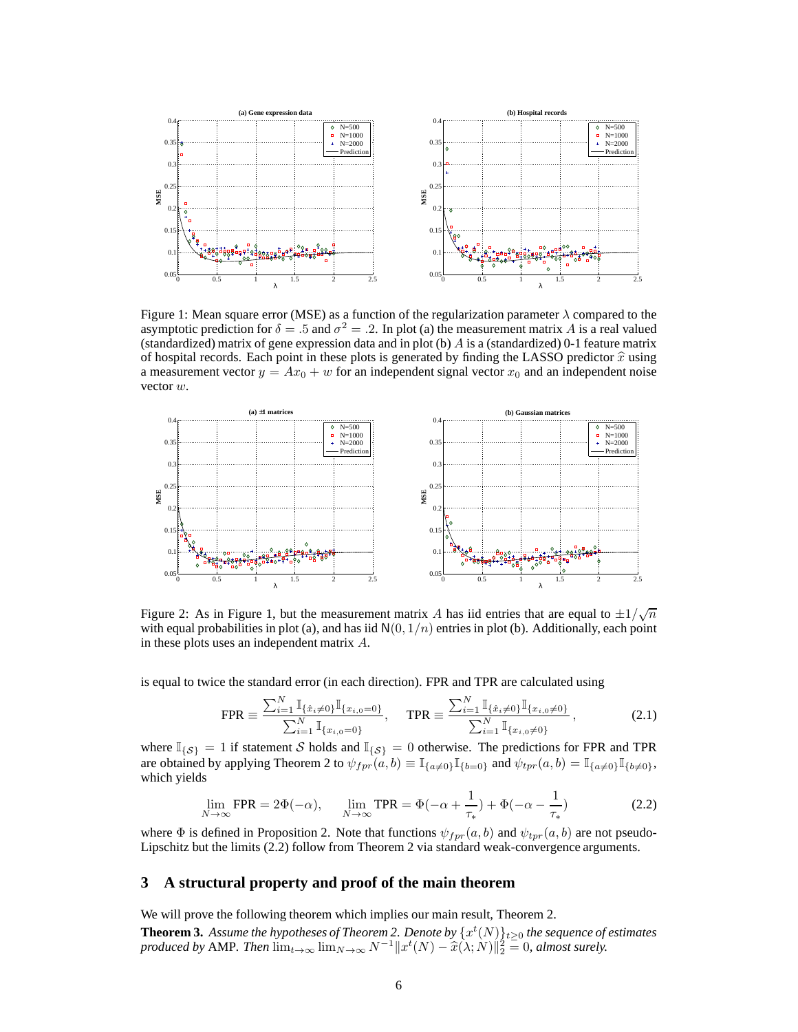

Figure 1: Mean square error (MSE) as a function of the regularization parameter  $\lambda$  compared to the asymptotic prediction for  $\delta = .5$  and  $\sigma^2 = .2$ . In plot (a) the measurement matrix A is a real valued (standardized) matrix of gene expression data and in plot (b)  $\tilde{A}$  is a (standardized) 0-1 feature matrix of hospital records. Each point in these plots is generated by finding the LASSO predictor  $\hat{x}$  using a measurement vector  $y = Ax_0 + w$  for an independent signal vector  $x_0$  and an independent noise vector w.



Figure 2: As in Figure 1, but the measurement matrix A has iid entries that are equal to  $\pm 1/\sqrt{n}$ with equal probabilities in plot (a), and has iid  $N(0, 1/n)$  entries in plot (b). Additionally, each point in these plots uses an independent matrix A.

is equal to twice the standard error (in each direction). FPR and TPR are calculated using

$$
\text{FPR} \equiv \frac{\sum_{i=1}^{N} \mathbb{I}_{\{\hat{x}_i \neq 0\}} \mathbb{I}_{\{x_{i,0} = 0\}}}{\sum_{i=1}^{N} \mathbb{I}_{\{x_{i,0} = 0\}}}, \quad \text{TPR} \equiv \frac{\sum_{i=1}^{N} \mathbb{I}_{\{\hat{x}_i \neq 0\}} \mathbb{I}_{\{x_{i,0} \neq 0\}}}{\sum_{i=1}^{N} \mathbb{I}_{\{x_{i,0} \neq 0\}}}, \quad (2.1)
$$

where  $\mathbb{I}_{\{\mathcal{S}\}} = 1$  if statement S holds and  $\mathbb{I}_{\{\mathcal{S}\}} = 0$  otherwise. The predictions for FPR and TPR are obtained by applying Theorem 2 to  $\psi_{fpr}(a, b) \equiv \mathbb{I}_{\{a \neq 0\}} \mathbb{I}_{\{b=0\}}$  and  $\psi_{tpr}(a, b) = \mathbb{I}_{\{a \neq 0\}} \mathbb{I}_{\{b \neq 0\}},$ which yields

$$
\lim_{N \to \infty} \text{FPR} = 2\Phi(-\alpha), \qquad \lim_{N \to \infty} \text{TPR} = \Phi(-\alpha + \frac{1}{\tau_*}) + \Phi(-\alpha - \frac{1}{\tau_*}) \tag{2.2}
$$

where  $\Phi$  is defined in Proposition 2. Note that functions  $\psi_{fpr}(a, b)$  and  $\psi_{tpr}(a, b)$  are not pseudo-Lipschitz but the limits (2.2) follow from Theorem 2 via standard weak-convergence arguments.

## **3 A structural property and proof of the main theorem**

We will prove the following theorem which implies our main result, Theorem 2.

**Theorem 3.** Assume the hypotheses of Theorem 2. Denote by  $\{x^t(N)\}_{t\geq0}$  the sequence of estimates *produced by* AMP. Then  $\lim_{t\to\infty} \lim_{N\to\infty} N^{-1} ||x^t(N) - \hat{x}(\lambda; N)||_2^2 = 0$ , almost surely.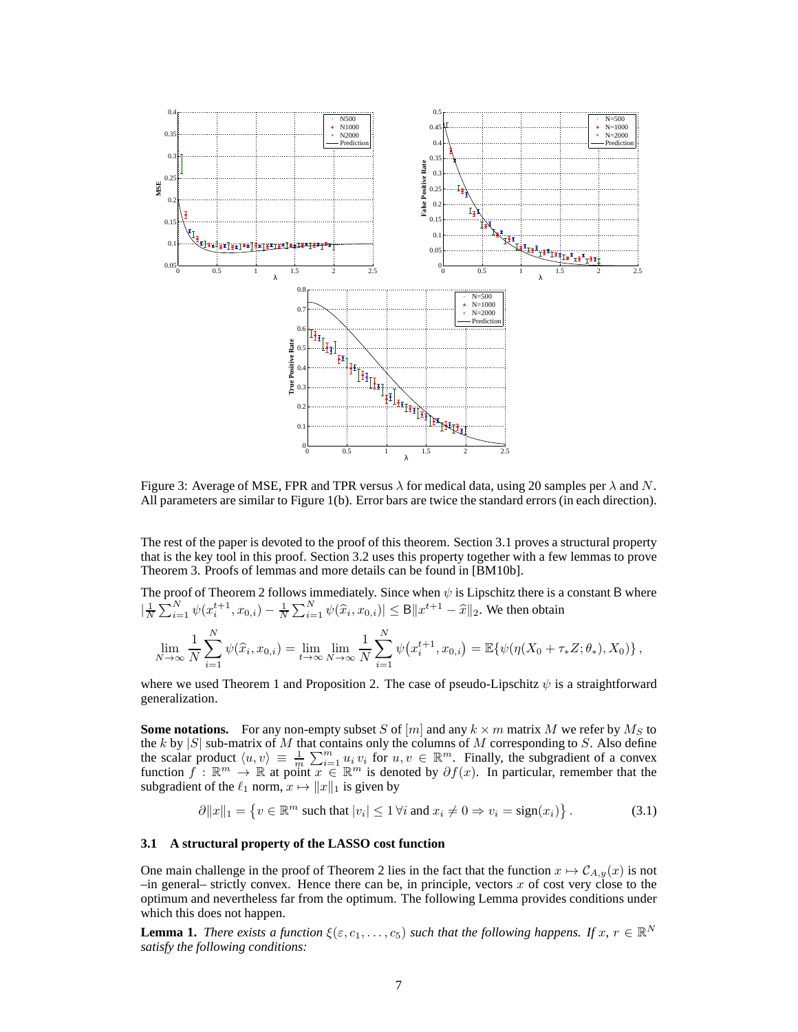

Figure 3: Average of MSE, FPR and TPR versus  $\lambda$  for medical data, using 20 samples per  $\lambda$  and N. All parameters are similar to Figure 1(b). Error bars are twice the standard errors (in each direction).

The rest of the paper is devoted to the proof of this theorem. Section 3.1 proves a structural property that is the key tool in this proof. Section 3.2 uses this property together with a few lemmas to prove Theorem 3. Proofs of lemmas and more details can be found in [BM10b].

The proof of Theorem 2 follows immediately. Since when  $\psi$  is Lipschitz there is a constant B where  $|\frac{1}{N}\sum_{i=1}^{N} \psi(x_i^{t+1}, x_{0,i}) - \frac{1}{N}\sum_{i=1}^{N} \psi(\widehat{x}_i, x_{0,i})| \leq B \|x^{t+1} - \widehat{x}\|_2$ . We then obtain

$$
\lim_{N \to \infty} \frac{1}{N} \sum_{i=1}^{N} \psi(\hat{x}_i, x_{0,i}) = \lim_{t \to \infty} \lim_{N \to \infty} \frac{1}{N} \sum_{i=1}^{N} \psi(x_i^{t+1}, x_{0,i}) = \mathbb{E}\{\psi(\eta(X_0 + \tau_* Z; \theta_*), X_0)\},
$$

where we used Theorem 1 and Proposition 2. The case of pseudo-Lipschitz  $\psi$  is a straightforward generalization.

**Some notations.** For any non-empty subset S of  $[m]$  and any  $k \times m$  matrix M we refer by  $M_S$  to the k by  $|S|$  sub-matrix of M that contains only the columns of M corresponding to S. Also define the scalar product  $\langle u, v \rangle \equiv \frac{1}{m} \sum_{i=1}^m u_i v_i$  for  $u, v \in \mathbb{R}^m$ . Finally, the subgradient of a convex function  $f : \mathbb{R}^m \to \mathbb{R}$  at point  $x \in \mathbb{R}^m$  is denoted by  $\partial f(x)$ . In particular, remember that the subgradient of the  $\ell_1$  norm,  $x \mapsto ||x||_1$  is given by

$$
\partial \|x\|_1 = \left\{ v \in \mathbb{R}^m \text{ such that } |v_i| \le 1 \,\forall i \text{ and } x_i \ne 0 \Rightarrow v_i = \text{sign}(x_i) \right\}. \tag{3.1}
$$

## **3.1 A structural property of the LASSO cost function**

One main challenge in the proof of Theorem 2 lies in the fact that the function  $x \mapsto \mathcal{C}_{A,y}(x)$  is not  $-$ in general– strictly convex. Hence there can be, in principle, vectors x of cost very close to the optimum and nevertheless far from the optimum. The following Lemma provides conditions under which this does not happen.

**Lemma 1.** *There exists a function*  $\xi(\varepsilon, c_1, \ldots, c_5)$  *such that the following happens. If*  $x, r \in \mathbb{R}^N$ *satisfy the following conditions:*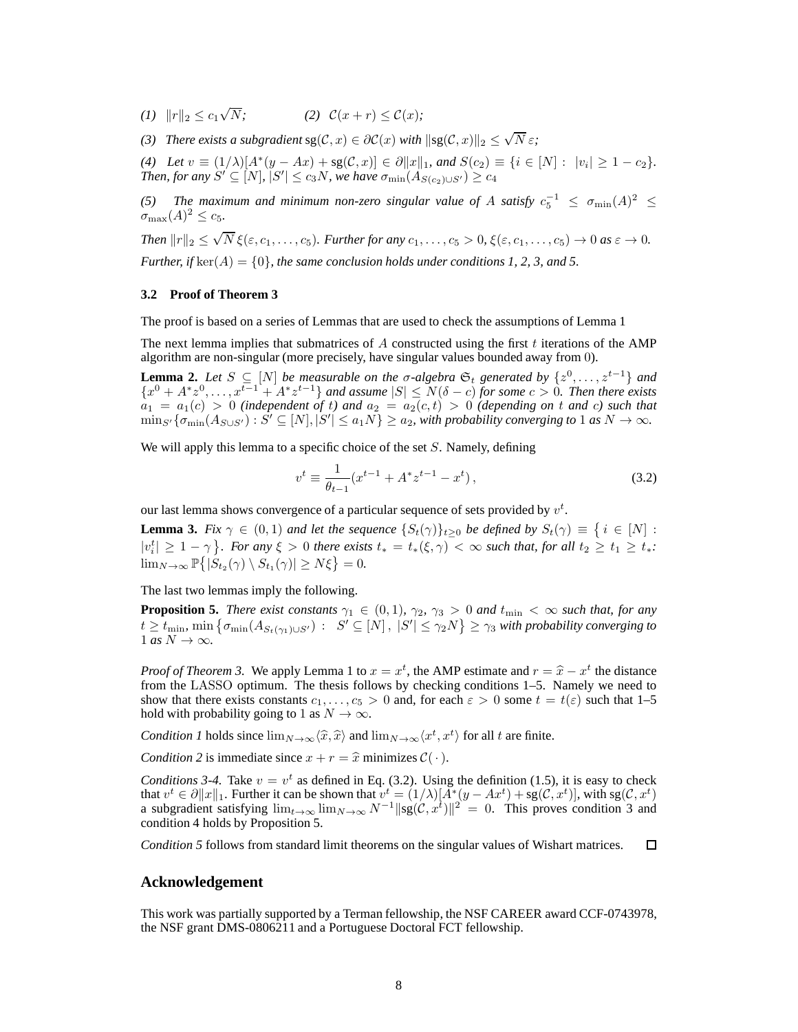*(1)*  $||r||_2 \le c_1 \sqrt{}$  $(2) \mathcal{C}(x+r) \leq \mathcal{C}(x);$ 

*(3) There exists a subgradient*  $sg(C, x) \in \partial C(x)$  *with*  $||sg(C, x)||_2 \le \sqrt{N} \varepsilon$ ;

(4) Let  $v \equiv (1/\lambda)[A^*(y - Ax) + sg(C, x)] \in \partial ||x||_1$ , and  $S(c_2) \equiv \{i \in [N]: |v_i| \ge 1 - c_2\}$ . *Then, for any*  $S' \subseteq [N]$ ,  $|S'| \leq c_3 N$ , we have  $\sigma_{\min}(A_{S(c_2) \cup S'}) \geq c_4$ 

(5) The maximum and minimum non-zero singular value of A satisfy  $c_5^{-1} \leq \sigma_{\min}(A)^2 \leq$  $\sigma_{\max}(A)^2 \leq c_5.$ 

*Then*  $||r||_2 \le \sqrt{N} \xi(\varepsilon, c_1, \ldots, c_5)$ *. Further for any*  $c_1, \ldots, c_5 > 0$ ,  $\xi(\varepsilon, c_1, \ldots, c_5) \to 0$  *as*  $\varepsilon \to 0$ *. Further, if*  $\ker(A) = \{0\}$ *, the same conclusion holds under conditions 1, 2, 3, and 5.* 

#### **3.2 Proof of Theorem 3**

The proof is based on a series of Lemmas that are used to check the assumptions of Lemma 1

The next lemma implies that submatrices of  $A$  constructed using the first  $t$  iterations of the AMP algorithm are non-singular (more precisely, have singular values bounded away from 0).

**Lemma 2.** *Let*  $S \subseteq [N]$  *be measurable on the*  $\sigma$ -algebra  $\mathfrak{S}_t$  generated by  $\{z^0, \ldots, z^{t-1}\}$  and  ${x^0 + A^*z^0, \ldots, x^{t-1} + A^*z^{t-1}}$  *and assume*  $|S| \le N(\delta - c)$  *for some*  $c > 0$ *. Then there exists*  $a_1 = a_1(c) > 0$  *(independent of t)* and  $a_2 = a_2(c,t) > 0$  *(depending on t and c)* such that  $\min_{S'}{\{\sigma_{\min}(A_{S\cup S'}) : S' \subseteq [N], |S'| \leq a_1N\}} \geq a_2$ , with probability converging to 1 as  $N \to \infty$ .

We will apply this lemma to a specific choice of the set  $S$ . Namely, defining

$$
v^{t} \equiv \frac{1}{\theta_{t-1}} (x^{t-1} + A^* z^{t-1} - x^t), \qquad (3.2)
$$

our last lemma shows convergence of a particular sequence of sets provided by  $v<sup>t</sup>$ .

**Lemma 3.** *Fix*  $\gamma \in (0,1)$  *and let the sequence*  $\{S_t(\gamma)\}_{t\geq 0}$  *be defined by*  $S_t(\gamma) \equiv \{i \in [N] :$  $|v_i^t| \geq 1 - \gamma$ . For any  $\xi > 0$  there exists  $t_* = t_*(\xi, \gamma) < \infty$  such that, for all  $t_2 \geq t_1 \geq t_*$ .  $\lim_{N\to\infty} \mathbb{P}\big\{ |\dot{S}_{t_2}(\gamma) \setminus S_{t_1}(\gamma)| \ge N\xi \big\} = 0.$ 

The last two lemmas imply the following.

**Proposition 5.** *There exist constants*  $\gamma_1 \in (0,1)$ *,*  $\gamma_2$ *,*  $\gamma_3 > 0$  *and*  $t_{\min} < \infty$  *such that, for any*  $t \geq t_{\min}$ ,  $\min \big\{ \sigma_{\min}(A_{S_t(\gamma_1) \cup S'}) \, : \, |S' \subseteq [N], \, |S'| \leq \gamma_2 N \big\} \geq \gamma_3$  with probability converging to  $1 \text{ as } N \to \infty$ .

*Proof of Theorem 3.* We apply Lemma 1 to  $x = x^t$ , the AMP estimate and  $r = \hat{x} - x^t$  the distance from the LASSO optimum. The thesis follows by chaoking conditions 1.5. Namely we need to from the LASSO optimum. The thesis follows by checking conditions 1–5. Namely we need to show that there exists constants  $c_1, \ldots, c_5 > 0$  and, for each  $\varepsilon > 0$  some  $t = t(\varepsilon)$  such that 1–5 hold with probability going to 1 as  $N \to \infty$ .

*Condition 1* holds since  $\lim_{N\to\infty}\langle \hat{x}, \hat{x} \rangle$  and  $\lim_{N\to\infty}\langle x^t, x^t \rangle$  for all t are finite.

*Condition 2* is immediate since  $x + r = \hat{x}$  minimizes  $C(\cdot)$ .

*Conditions 3-4.* Take  $v = v^t$  as defined in Eq. (3.2). Using the definition (1.5), it is easy to check that  $v^t \in \partial ||x||_1$ . Further it can be shown that  $v^t = (1/\lambda)[A^*(y - Ax^t) + sg(\mathcal{C}, x^t)],$  with  $sg(\mathcal{C}, x^t)$ a subgradient satisfying  $\lim_{t\to\infty} \lim_{N\to\infty} N^{-1} ||sg(C, x^t)||^2 = 0$ . This proves condition 3 and condition 4 holds by Proposition 5.

*Condition 5* follows from standard limit theorems on the singular values of Wishart matrices.  $\square$ 

## **Acknowledgement**

This work was partially supported by a Terman fellowship, the NSF CAREER award CCF-0743978, the NSF grant DMS-0806211 and a Portuguese Doctoral FCT fellowship.